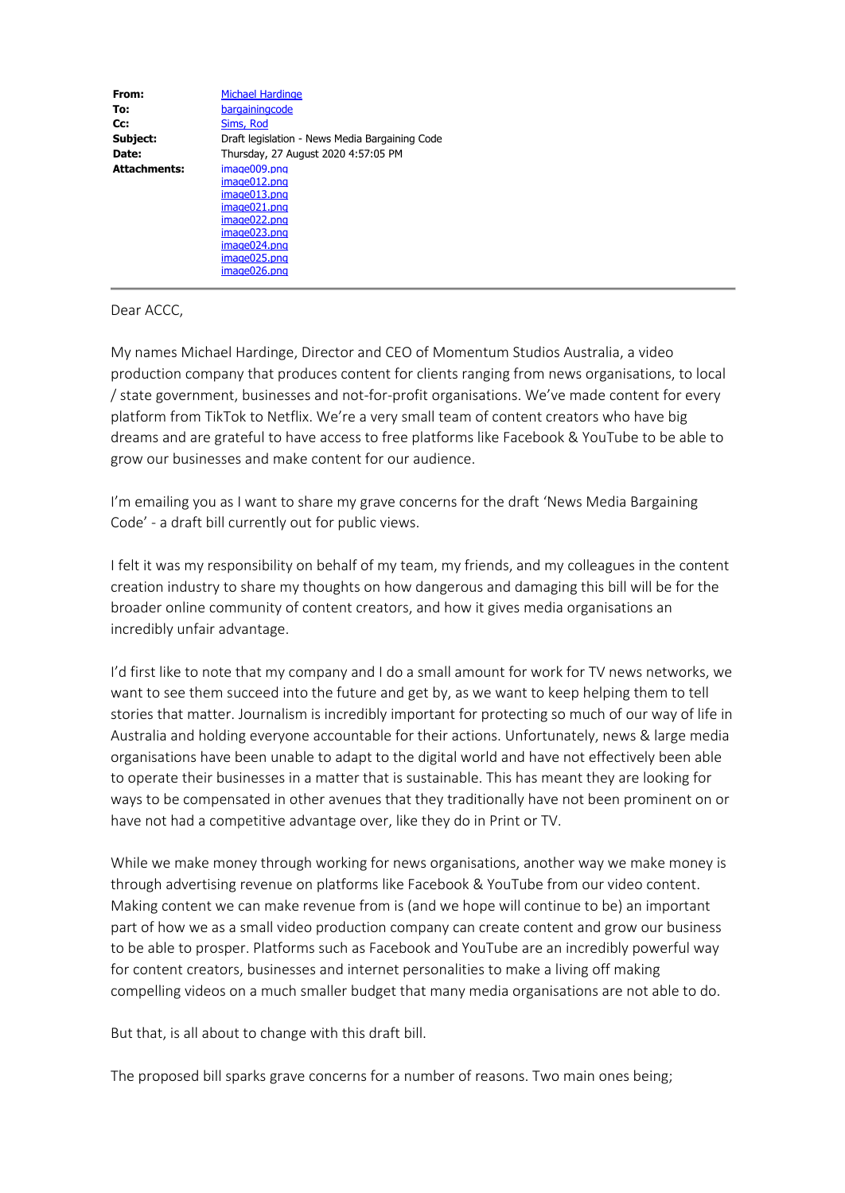| From:               | <b>Michael Hardinge</b>                        |
|---------------------|------------------------------------------------|
| To:                 | bargainingcode                                 |
| Cc:                 | Sims, Rod                                      |
| Subject:            | Draft legislation - News Media Bargaining Code |
| Date:               | Thursday, 27 August 2020 4:57:05 PM            |
| <b>Attachments:</b> | image009.png                                   |
|                     | image012.png                                   |
|                     | image013.png                                   |
|                     | image021.png                                   |
|                     | image022.png                                   |
|                     | image023.png                                   |
|                     | image024.png                                   |
|                     | image025.png                                   |
|                     | image026.png                                   |

Dear ACCC,

My names Michael Hardinge, Director and CEO of Momentum Studios Australia, a video production company that produces content for clients ranging from news organisations, to local / state government, businesses and not-for-profit organisations. We've made content for every platform from TikTok to Netflix. We're a very small team of content creators who have big dreams and are grateful to have access to free platforms like Facebook & YouTube to be able to grow our businesses and make content for our audience.

I'm emailing you as I want to share my grave concerns for the draft 'News Media Bargaining Code' - a draft bill currently out for public views.

I felt it was my responsibility on behalf of my team, my friends, and my colleagues in the content creation industry to share my thoughts on how dangerous and damaging this bill will be for the broader online community of content creators, and how it gives media organisations an incredibly unfair advantage.

I'd first like to note that my company and I do a small amount for work for TV news networks, we want to see them succeed into the future and get by, as we want to keep helping them to tell stories that matter. Journalism is incredibly important for protecting so much of our way of life in Australia and holding everyone accountable for their actions. Unfortunately, news & large media organisations have been unable to adapt to the digital world and have not effectively been able to operate their businesses in a matter that is sustainable. This has meant they are looking for ways to be compensated in other avenues that they traditionally have not been prominent on or have not had a competitive advantage over, like they do in Print or TV.

While we make money through working for news organisations, another way we make money is through advertising revenue on platforms like Facebook & YouTube from our video content. Making content we can make revenue from is (and we hope will continue to be) an important part of how we as a small video production company can create content and grow our business to be able to prosper. Platforms such as Facebook and YouTube are an incredibly powerful way for content creators, businesses and internet personalities to make a living off making compelling videos on a much smaller budget that many media organisations are not able to do.

But that, is all about to change with this draft bill.

The proposed bill sparks grave concerns for a number of reasons. Two main ones being;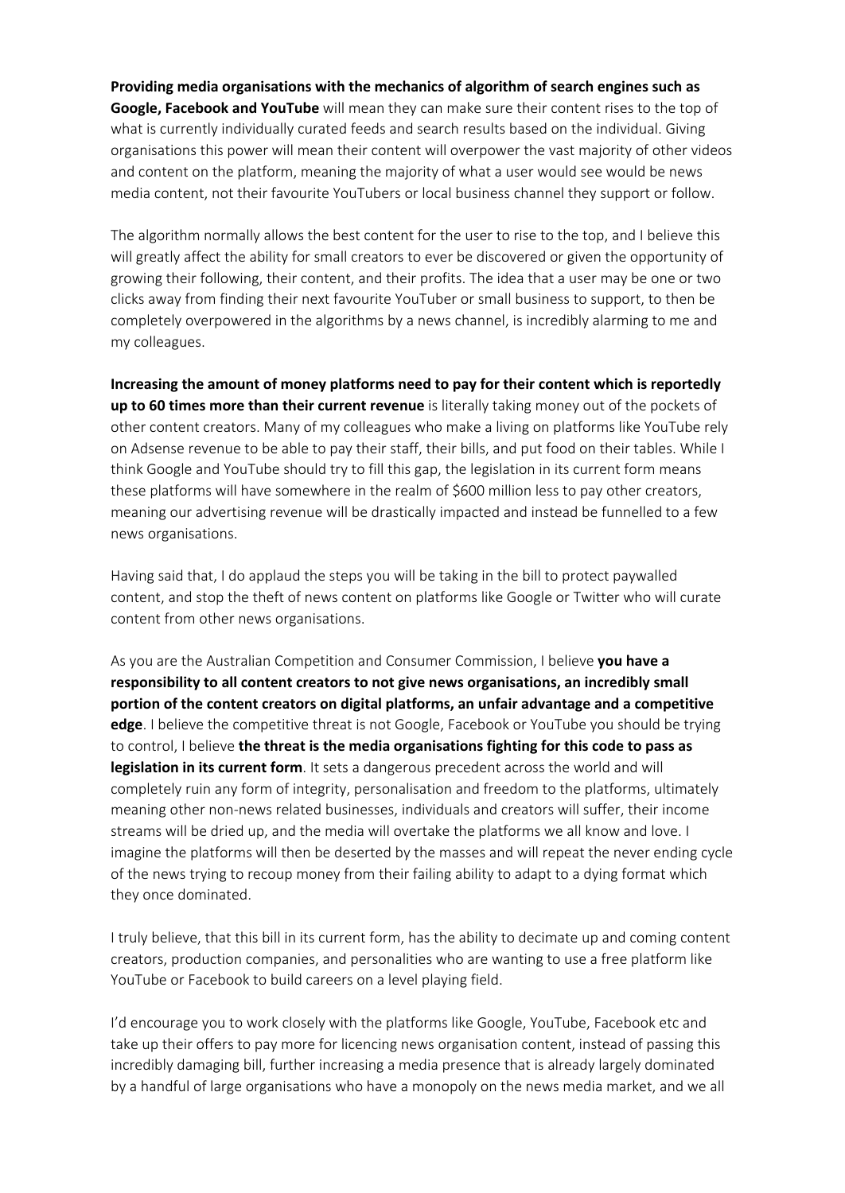**Providing media organisations with the mechanics of algorithm of search engines such as Google, Facebook and YouTube** will mean they can make sure their content rises to the top of what is currently individually curated feeds and search results based on the individual. Giving organisations this power will mean their content will overpower the vast majority of other videos and content on the platform, meaning the majority of what a user would see would be news media content, not their favourite YouTubers or local business channel they support or follow.

The algorithm normally allows the best content for the user to rise to the top, and I believe this will greatly affect the ability for small creators to ever be discovered or given the opportunity of growing their following, their content, and their profits. The idea that a user may be one or two clicks away from finding their next favourite YouTuber or small business to support, to then be completely overpowered in the algorithms by a news channel, is incredibly alarming to me and my colleagues.

**Increasing the amount of money platforms need to pay for their content which is reportedly up to 60 times more than their current revenue** is literally taking money out of the pockets of other content creators. Many of my colleagues who make a living on platforms like YouTube rely on Adsense revenue to be able to pay their staff, their bills, and put food on their tables. While I think Google and YouTube should try to fill this gap, the legislation in its current form means these platforms will have somewhere in the realm of \$600 million less to pay other creators, meaning our advertising revenue will be drastically impacted and instead be funnelled to a few news organisations.

Having said that, I do applaud the steps you will be taking in the bill to protect paywalled content, and stop the theft of news content on platforms like Google or Twitter who will curate content from other news organisations.

As you are the Australian Competition and Consumer Commission, I believe **you have a responsibility to all content creators to not give news organisations, an incredibly small portion of the content creators on digital platforms, an unfair advantage and a competitive edge**. I believe the competitive threat is not Google, Facebook or YouTube you should be trying to control, I believe **the threat is the media organisations fighting for this code to pass as legislation in its current form**. It sets a dangerous precedent across the world and will completely ruin any form of integrity, personalisation and freedom to the platforms, ultimately meaning other non-news related businesses, individuals and creators will suffer, their income streams will be dried up, and the media will overtake the platforms we all know and love. I imagine the platforms will then be deserted by the masses and will repeat the never ending cycle of the news trying to recoup money from their failing ability to adapt to a dying format which they once dominated.

I truly believe, that this bill in its current form, has the ability to decimate up and coming content creators, production companies, and personalities who are wanting to use a free platform like YouTube or Facebook to build careers on a level playing field.

I'd encourage you to work closely with the platforms like Google, YouTube, Facebook etc and take up their offers to pay more for licencing news organisation content, instead of passing this incredibly damaging bill, further increasing a media presence that is already largely dominated by a handful of large organisations who have a monopoly on the news media market, and we all